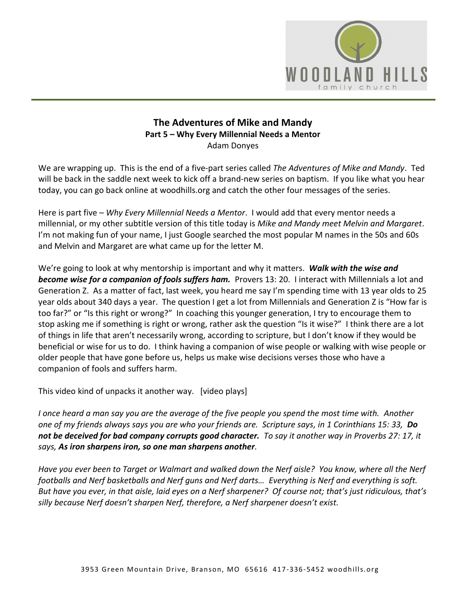

## **The Adventures of Mike and Mandy Part 5 – Why Every Millennial Needs a Mentor**  Adam Donyes

We are wrapping up. This is the end of a five-part series called *The Adventures of Mike and Mandy*. Ted will be back in the saddle next week to kick off a brand-new series on baptism. If you like what you hear today, you can go back online at woodhills.org and catch the other four messages of the series.

Here is part five – *Why Every Millennial Needs a Mentor*. I would add that every mentor needs a millennial, or my other subtitle version of this title today is *Mike and Mandy meet Melvin and Margaret*. I'm not making fun of your name, I just Google searched the most popular M names in the 50s and 60s and Melvin and Margaret are what came up for the letter M.

We're going to look at why mentorship is important and why it matters. *Walk with the wise and become wise for a companion of fools suffers ham.* Provers 13: 20. I interact with Millennials a lot and Generation Z. As a matter of fact, last week, you heard me say I'm spending time with 13 year olds to 25 year olds about 340 days a year. The question I get a lot from Millennials and Generation Z is "How far is too far?" or "Is this right or wrong?" In coaching this younger generation, I try to encourage them to stop asking me if something is right or wrong, rather ask the question "Is it wise?" I think there are a lot of things in life that aren't necessarily wrong, according to scripture, but I don't know if they would be beneficial or wise for us to do. I think having a companion of wise people or walking with wise people or older people that have gone before us, helps us make wise decisions verses those who have a companion of fools and suffers harm.

This video kind of unpacks it another way. [video plays]

*I once heard a man say you are the average of the five people you spend the most time with. Another one of my friends always says you are who your friends are. Scripture says, in 1 Corinthians 15: 33, Do not be deceived for bad company corrupts good character. To say it another way in Proverbs 27: 17, it says, As iron sharpens iron, so one man sharpens another.* 

*Have you ever been to Target or Walmart and walked down the Nerf aisle? You know, where all the Nerf footballs and Nerf basketballs and Nerf guns and Nerf darts… Everything is Nerf and everything is soft. But have you ever, in that aisle, laid eyes on a Nerf sharpener? Of course not; that's just ridiculous, that's silly because Nerf doesn't sharpen Nerf, therefore, a Nerf sharpener doesn't exist.*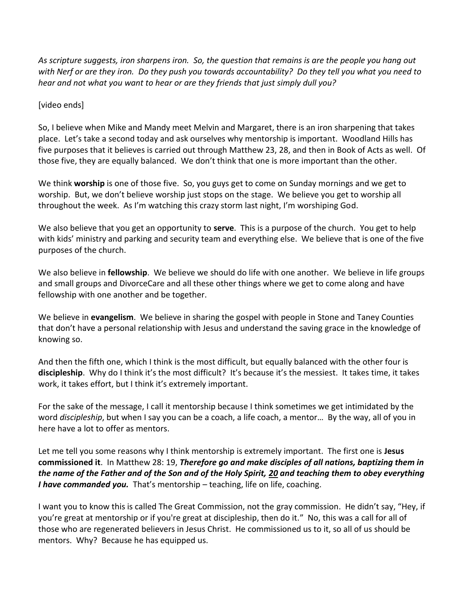*As scripture suggests, iron sharpens iron. So, the question that remains is are the people you hang out with Nerf or are they iron. Do they push you towards accountability? Do they tell you what you need to hear and not what you want to hear or are they friends that just simply dull you?* 

## [video ends]

So, I believe when Mike and Mandy meet Melvin and Margaret, there is an iron sharpening that takes place. Let's take a second today and ask ourselves why mentorship is important. Woodland Hills has five purposes that it believes is carried out through Matthew 23, 28, and then in Book of Acts as well. Of those five, they are equally balanced. We don't think that one is more important than the other.

We think **worship** is one of those five. So, you guys get to come on Sunday mornings and we get to worship. But, we don't believe worship just stops on the stage. We believe you get to worship all throughout the week. As I'm watching this crazy storm last night, I'm worshiping God.

We also believe that you get an opportunity to **serve**. This is a purpose of the church. You get to help with kids' ministry and parking and security team and everything else. We believe that is one of the five purposes of the church.

We also believe in **fellowship**. We believe we should do life with one another. We believe in life groups and small groups and DivorceCare and all these other things where we get to come along and have fellowship with one another and be together.

We believe in **evangelism**. We believe in sharing the gospel with people in Stone and Taney Counties that don't have a personal relationship with Jesus and understand the saving grace in the knowledge of knowing so.

And then the fifth one, which I think is the most difficult, but equally balanced with the other four is **discipleship**. Why do I think it's the most difficult? It's because it's the messiest. It takes time, it takes work, it takes effort, but I think it's extremely important.

For the sake of the message, I call it mentorship because I think sometimes we get intimidated by the word *discipleship*, but when I say you can be a coach, a life coach, a mentor… By the way, all of you in here have a lot to offer as mentors.

Let me tell you some reasons why I think mentorship is extremely important. The first one is **Jesus commissioned it**. In Matthew 28: 19, *Therefore go and make disciples of all nations, baptizing them in the name of the Father and of the Son and of the Holy Spirit, [20](http://www.studylight.org/desk/?q=mt%2028:20&t1=en_niv&sr=1) and teaching them to obey everything I have commanded you.* That's mentorship – teaching, life on life, coaching.

I want you to know this is called The Great Commission, not the gray commission. He didn't say, "Hey, if you're great at mentorship or if you're great at discipleship, then do it." No, this was a call for all of those who are regenerated believers in Jesus Christ. He commissioned us to it, so all of us should be mentors. Why? Because he has equipped us.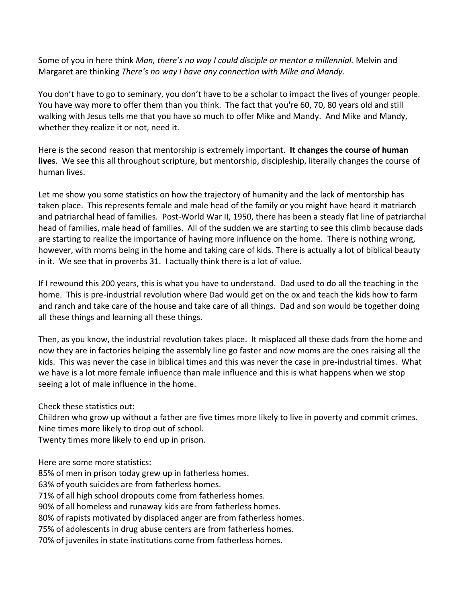Some of you in here think *Man, there's no way I could disciple or mentor a millennial.* Melvin and Margaret are thinking *There's no way I have any connection with Mike and Mandy.* 

You don't have to go to seminary, you don't have to be a scholar to impact the lives of younger people. You have way more to offer them than you think. The fact that you're 60, 70, 80 years old and still walking with Jesus tells me that you have so much to offer Mike and Mandy. And Mike and Mandy, whether they realize it or not, need it.

Here is the second reason that mentorship is extremely important. **It changes the course of human lives**. We see this all throughout scripture, but mentorship, discipleship, literally changes the course of human lives.

Let me show you some statistics on how the trajectory of humanity and the lack of mentorship has taken place. This represents female and male head of the family or you might have heard it matriarch and patriarchal head of families. Post-World War II, 1950, there has been a steady flat line of patriarchal head of families, male head of families. All of the sudden we are starting to see this climb because dads are starting to realize the importance of having more influence on the home. There is nothing wrong, however, with moms being in the home and taking care of kids. There is actually a lot of biblical beauty in it. We see that in proverbs 31. I actually think there is a lot of value.

If I rewound this 200 years, this is what you have to understand. Dad used to do all the teaching in the home. This is pre-industrial revolution where Dad would get on the ox and teach the kids how to farm and ranch and take care of the house and take care of all things. Dad and son would be together doing all these things and learning all these things.

Then, as you know, the industrial revolution takes place. It misplaced all these dads from the home and now they are in factories helping the assembly line go faster and now moms are the ones raising all the kids. This was never the case in biblical times and this was never the case in pre-industrial times. What we have is a lot more female influence than male influence and this is what happens when we stop seeing a lot of male influence in the home.

Check these statistics out:

Children who grow up without a father are five times more likely to live in poverty and commit crimes. Nine times more likely to drop out of school.

Twenty times more likely to end up in prison.

Here are some more statistics:

85% of men in prison today grew up in fatherless homes.

63% of youth suicides are from fatherless homes.

71% of all high school dropouts come from fatherless homes.

90% of all homeless and runaway kids are from fatherless homes.

80% of rapists motivated by displaced anger are from fatherless homes.

75% of adolescents in drug abuse centers are from fatherless homes.

70% of juveniles in state institutions come from fatherless homes.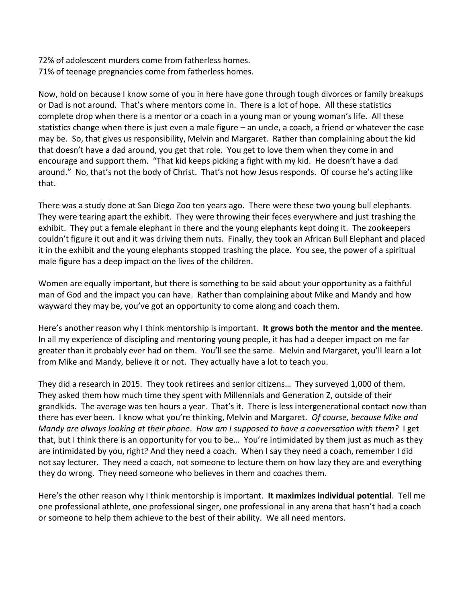72% of adolescent murders come from fatherless homes. 71% of teenage pregnancies come from fatherless homes.

Now, hold on because I know some of you in here have gone through tough divorces or family breakups or Dad is not around. That's where mentors come in. There is a lot of hope. All these statistics complete drop when there is a mentor or a coach in a young man or young woman's life. All these statistics change when there is just even a male figure – an uncle, a coach, a friend or whatever the case may be. So, that gives us responsibility, Melvin and Margaret. Rather than complaining about the kid that doesn't have a dad around, you get that role. You get to love them when they come in and encourage and support them. "That kid keeps picking a fight with my kid. He doesn't have a dad around." No, that's not the body of Christ. That's not how Jesus responds. Of course he's acting like that.

There was a study done at San Diego Zoo ten years ago. There were these two young bull elephants. They were tearing apart the exhibit. They were throwing their feces everywhere and just trashing the exhibit. They put a female elephant in there and the young elephants kept doing it. The zookeepers couldn't figure it out and it was driving them nuts. Finally, they took an African Bull Elephant and placed it in the exhibit and the young elephants stopped trashing the place. You see, the power of a spiritual male figure has a deep impact on the lives of the children.

Women are equally important, but there is something to be said about your opportunity as a faithful man of God and the impact you can have. Rather than complaining about Mike and Mandy and how wayward they may be, you've got an opportunity to come along and coach them.

Here's another reason why I think mentorship is important. **It grows both the mentor and the mentee**. In all my experience of discipling and mentoring young people, it has had a deeper impact on me far greater than it probably ever had on them. You'll see the same. Melvin and Margaret, you'll learn a lot from Mike and Mandy, believe it or not. They actually have a lot to teach you.

They did a research in 2015. They took retirees and senior citizens… They surveyed 1,000 of them. They asked them how much time they spent with Millennials and Generation Z, outside of their grandkids. The average was ten hours a year. That's it. There is less intergenerational contact now than there has ever been. I know what you're thinking, Melvin and Margaret. *Of course, because Mike and Mandy are always looking at their phone*. *How am I supposed to have a conversation with them?* I get that, but I think there is an opportunity for you to be… You're intimidated by them just as much as they are intimidated by you, right? And they need a coach. When I say they need a coach, remember I did not say lecturer. They need a coach, not someone to lecture them on how lazy they are and everything they do wrong. They need someone who believes in them and coaches them.

Here's the other reason why I think mentorship is important. **It maximizes individual potential**. Tell me one professional athlete, one professional singer, one professional in any arena that hasn't had a coach or someone to help them achieve to the best of their ability. We all need mentors.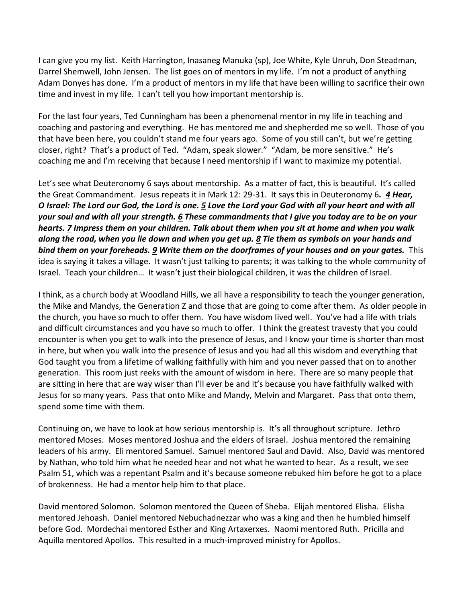I can give you my list. Keith Harrington, Inasaneg Manuka (sp), Joe White, Kyle Unruh, Don Steadman, Darrel Shemwell, John Jensen. The list goes on of mentors in my life. I'm not a product of anything Adam Donyes has done. I'm a product of mentors in my life that have been willing to sacrifice their own time and invest in my life. I can't tell you how important mentorship is.

For the last four years, Ted Cunningham has been a phenomenal mentor in my life in teaching and coaching and pastoring and everything. He has mentored me and shepherded me so well. Those of you that have been here, you couldn't stand me four years ago. Some of you still can't, but we're getting closer, right? That's a product of Ted. "Adam, speak slower." "Adam, be more sensitive." He's coaching me and I'm receiving that because I need mentorship if I want to maximize my potential.

Let's see what Deuteronomy 6 says about mentorship. As a matter of fact, this is beautiful. It's called the Great Commandment. Jesus repeats it in Mark 12: 29-31. It says this in Deuteronomy 6*. [4](http://www.studylight.org/desk/?q=de%206:4&t1=en_niv&sr=1) Hear, O Israel: The Lord our God, the Lord is one. [5](http://www.studylight.org/desk/?q=de%206:5&t1=en_niv&sr=1) Love the Lord your God with all your heart and with all your soul and with all your strength[. 6](http://www.studylight.org/desk/?q=de%206:6&t1=en_niv&sr=1) These commandments that I give you today are to be on your hearts. [7](http://www.studylight.org/desk/?q=de%206:7&t1=en_niv&sr=1) Impress them on your children. Talk about them when you sit at home and when you walk along the road, when you lie down and when you get up. [8](http://www.studylight.org/desk/?q=de%206:8&t1=en_niv&sr=1) Tie them as symbols on your hands and bind them on your foreheads. [9](http://www.studylight.org/desk/?q=de%206:9&t1=en_niv&sr=1) Write them on the doorframes of your houses and on your gates.* This idea is saying it takes a village. It wasn't just talking to parents; it was talking to the whole community of Israel. Teach your children… It wasn't just their biological children, it was the children of Israel.

I think, as a church body at Woodland Hills, we all have a responsibility to teach the younger generation, the Mike and Mandys, the Generation Z and those that are going to come after them. As older people in the church, you have so much to offer them. You have wisdom lived well. You've had a life with trials and difficult circumstances and you have so much to offer. I think the greatest travesty that you could encounter is when you get to walk into the presence of Jesus, and I know your time is shorter than most in here, but when you walk into the presence of Jesus and you had all this wisdom and everything that God taught you from a lifetime of walking faithfully with him and you never passed that on to another generation. This room just reeks with the amount of wisdom in here. There are so many people that are sitting in here that are way wiser than I'll ever be and it's because you have faithfully walked with Jesus for so many years. Pass that onto Mike and Mandy, Melvin and Margaret. Pass that onto them, spend some time with them.

Continuing on, we have to look at how serious mentorship is. It's all throughout scripture. Jethro mentored Moses. Moses mentored Joshua and the elders of Israel. Joshua mentored the remaining leaders of his army. Eli mentored Samuel. Samuel mentored Saul and David. Also, David was mentored by Nathan, who told him what he needed hear and not what he wanted to hear. As a result, we see Psalm 51, which was a repentant Psalm and it's because someone rebuked him before he got to a place of brokenness. He had a mentor help him to that place.

David mentored Solomon. Solomon mentored the Queen of Sheba. Elijah mentored Elisha. Elisha mentored Jehoash. Daniel mentored Nebuchadnezzar who was a king and then he humbled himself before God. Mordechai mentored Esther and King Artaxerxes. Naomi mentored Ruth. Pricilla and Aquilla mentored Apollos. This resulted in a much-improved ministry for Apollos.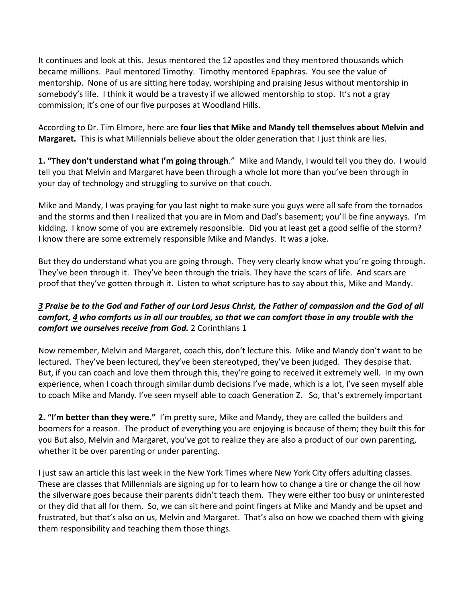It continues and look at this. Jesus mentored the 12 apostles and they mentored thousands which became millions. Paul mentored Timothy. Timothy mentored Epaphras. You see the value of mentorship. None of us are sitting here today, worshiping and praising Jesus without mentorship in somebody's life. I think it would be a travesty if we allowed mentorship to stop. It's not a gray commission; it's one of our five purposes at Woodland Hills.

According to Dr. Tim Elmore, here are **four lies that Mike and Mandy tell themselves about Melvin and Margaret.** This is what Millennials believe about the older generation that I just think are lies.

**1. "They don't understand what I'm going through**." Mike and Mandy, I would tell you they do. I would tell you that Melvin and Margaret have been through a whole lot more than you've been through in your day of technology and struggling to survive on that couch.

Mike and Mandy, I was praying for you last night to make sure you guys were all safe from the tornados and the storms and then I realized that you are in Mom and Dad's basement; you'll be fine anyways. I'm kidding. I know some of you are extremely responsible. Did you at least get a good selfie of the storm? I know there are some extremely responsible Mike and Mandys. It was a joke.

But they do understand what you are going through. They very clearly know what you're going through. They've been through it. They've been through the trials. They have the scars of life. And scars are proof that they've gotten through it. Listen to what scripture has to say about this, Mike and Mandy.

## *[3](http://www.studylight.org/desk/?q=2co%201:3&t1=en_niv&sr=1) Praise be to the God and Father of our Lord Jesus Christ, the Father of compassion and the God of all comfort, [4](http://www.studylight.org/desk/?q=2co%201:4&t1=en_niv&sr=1) who comforts us in all our troubles, so that we can comfort those in any trouble with the comfort we ourselves receive from God.* 2 Corinthians 1

Now remember, Melvin and Margaret, coach this, don't lecture this. Mike and Mandy don't want to be lectured. They've been lectured, they've been stereotyped, they've been judged. They despise that. But, if you can coach and love them through this, they're going to received it extremely well. In my own experience, when I coach through similar dumb decisions I've made, which is a lot, I've seen myself able to coach Mike and Mandy. I've seen myself able to coach Generation Z. So, that's extremely important

**2. "I'm better than they were."** I'm pretty sure, Mike and Mandy, they are called the builders and boomers for a reason. The product of everything you are enjoying is because of them; they built this for you But also, Melvin and Margaret, you've got to realize they are also a product of our own parenting, whether it be over parenting or under parenting.

I just saw an article this last week in the New York Times where New York City offers adulting classes. These are classes that Millennials are signing up for to learn how to change a tire or change the oil how the silverware goes because their parents didn't teach them. They were either too busy or uninterested or they did that all for them. So, we can sit here and point fingers at Mike and Mandy and be upset and frustrated, but that's also on us, Melvin and Margaret. That's also on how we coached them with giving them responsibility and teaching them those things.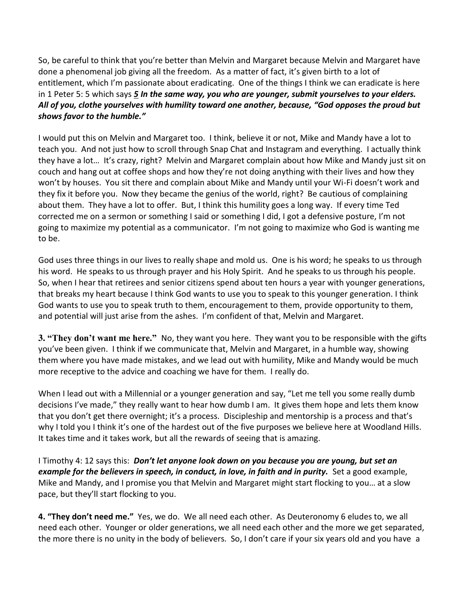So, be careful to think that you're better than Melvin and Margaret because Melvin and Margaret have done a phenomenal job giving all the freedom. As a matter of fact, it's given birth to a lot of entitlement, which I'm passionate about eradicating. One of the things I think we can eradicate is here in 1 Peter 5: 5 which says *[5](http://www.studylight.org/desk/?q=1pe%205:5&t1=en_niv&sr=1) In the same way, you who are younger, submit yourselves to your elders. All of you, clothe yourselves with humility toward one another, because, "God opposes the proud but shows favor to the humble."*

I would put this on Melvin and Margaret too. I think, believe it or not, Mike and Mandy have a lot to teach you. And not just how to scroll through Snap Chat and Instagram and everything. I actually think they have a lot… It's crazy, right? Melvin and Margaret complain about how Mike and Mandy just sit on couch and hang out at coffee shops and how they're not doing anything with their lives and how they won't by houses. You sit there and complain about Mike and Mandy until your Wi-Fi doesn't work and they fix it before you. Now they became the genius of the world, right? Be cautious of complaining about them. They have a lot to offer. But, I think this humility goes a long way. If every time Ted corrected me on a sermon or something I said or something I did, I got a defensive posture, I'm not going to maximize my potential as a communicator. I'm not going to maximize who God is wanting me to be.

God uses three things in our lives to really shape and mold us. One is his word; he speaks to us through his word. He speaks to us through prayer and his Holy Spirit. And he speaks to us through his people. So, when I hear that retirees and senior citizens spend about ten hours a year with younger generations, that breaks my heart because I think God wants to use you to speak to this younger generation. I think God wants to use you to speak truth to them, encouragement to them, provide opportunity to them, and potential will just arise from the ashes. I'm confident of that, Melvin and Margaret.

**3. "They don't want me here."** No, they want you here. They want you to be responsible with the gifts you've been given. I think if we communicate that, Melvin and Margaret, in a humble way, showing them where you have made mistakes, and we lead out with humility, Mike and Mandy would be much more receptive to the advice and coaching we have for them. I really do.

When I lead out with a Millennial or a younger generation and say, "Let me tell you some really dumb decisions I've made," they really want to hear how dumb I am. It gives them hope and lets them know that you don't get there overnight; it's a process. Discipleship and mentorship is a process and that's why I told you I think it's one of the hardest out of the five purposes we believe here at Woodland Hills. It takes time and it takes work, but all the rewards of seeing that is amazing.

I Timothy 4: 12 says this: *Don't let anyone look down on you because you are young, but set an example for the believers in speech, in conduct, in love, in faith and in purity.* Set a good example, Mike and Mandy, and I promise you that Melvin and Margaret might start flocking to you… at a slow pace, but they'll start flocking to you.

**4. "They don't need me."** Yes, we do. We all need each other. As Deuteronomy 6 eludes to, we all need each other. Younger or older generations, we all need each other and the more we get separated, the more there is no unity in the body of believers. So, I don't care if your six years old and you have a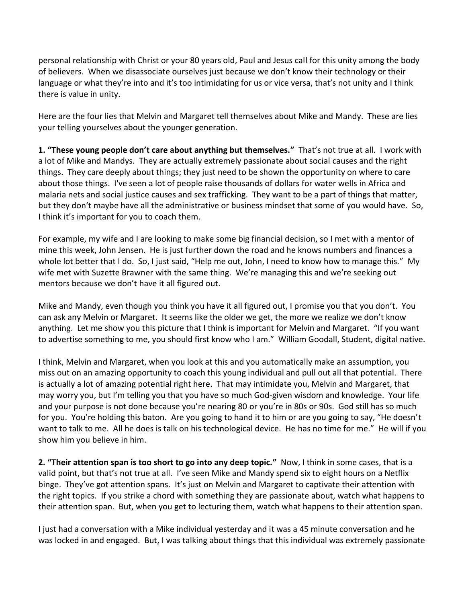personal relationship with Christ or your 80 years old, Paul and Jesus call for this unity among the body of believers. When we disassociate ourselves just because we don't know their technology or their language or what they're into and it's too intimidating for us or vice versa, that's not unity and I think there is value in unity.

Here are the four lies that Melvin and Margaret tell themselves about Mike and Mandy. These are lies your telling yourselves about the younger generation.

**1. "These young people don't care about anything but themselves."** That's not true at all. I work with a lot of Mike and Mandys. They are actually extremely passionate about social causes and the right things. They care deeply about things; they just need to be shown the opportunity on where to care about those things. I've seen a lot of people raise thousands of dollars for water wells in Africa and malaria nets and social justice causes and sex trafficking. They want to be a part of things that matter, but they don't maybe have all the administrative or business mindset that some of you would have. So, I think it's important for you to coach them.

For example, my wife and I are looking to make some big financial decision, so I met with a mentor of mine this week, John Jensen. He is just further down the road and he knows numbers and finances a whole lot better that I do. So, I just said, "Help me out, John, I need to know how to manage this." My wife met with Suzette Brawner with the same thing. We're managing this and we're seeking out mentors because we don't have it all figured out.

Mike and Mandy, even though you think you have it all figured out, I promise you that you don't. You can ask any Melvin or Margaret. It seems like the older we get, the more we realize we don't know anything. Let me show you this picture that I think is important for Melvin and Margaret. "If you want to advertise something to me, you should first know who I am." William Goodall, Student, digital native.

I think, Melvin and Margaret, when you look at this and you automatically make an assumption, you miss out on an amazing opportunity to coach this young individual and pull out all that potential. There is actually a lot of amazing potential right here. That may intimidate you, Melvin and Margaret, that may worry you, but I'm telling you that you have so much God-given wisdom and knowledge. Your life and your purpose is not done because you're nearing 80 or you're in 80s or 90s. God still has so much for you. You're holding this baton. Are you going to hand it to him or are you going to say, "He doesn't want to talk to me. All he does is talk on his technological device. He has no time for me." He will if you show him you believe in him.

**2. "Their attention span is too short to go into any deep topic."** Now, I think in some cases, that is a valid point, but that's not true at all. I've seen Mike and Mandy spend six to eight hours on a Netflix binge. They've got attention spans. It's just on Melvin and Margaret to captivate their attention with the right topics. If you strike a chord with something they are passionate about, watch what happens to their attention span. But, when you get to lecturing them, watch what happens to their attention span.

I just had a conversation with a Mike individual yesterday and it was a 45 minute conversation and he was locked in and engaged. But, I was talking about things that this individual was extremely passionate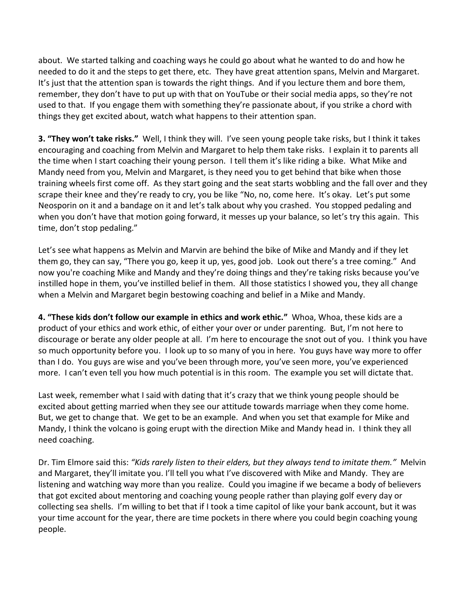about. We started talking and coaching ways he could go about what he wanted to do and how he needed to do it and the steps to get there, etc. They have great attention spans, Melvin and Margaret. It's just that the attention span is towards the right things. And if you lecture them and bore them, remember, they don't have to put up with that on YouTube or their social media apps, so they're not used to that. If you engage them with something they're passionate about, if you strike a chord with things they get excited about, watch what happens to their attention span.

**3. "They won't take risks."** Well, I think they will. I've seen young people take risks, but I think it takes encouraging and coaching from Melvin and Margaret to help them take risks. I explain it to parents all the time when I start coaching their young person. I tell them it's like riding a bike. What Mike and Mandy need from you, Melvin and Margaret, is they need you to get behind that bike when those training wheels first come off. As they start going and the seat starts wobbling and the fall over and they scrape their knee and they're ready to cry, you be like "No, no, come here. It's okay. Let's put some Neosporin on it and a bandage on it and let's talk about why you crashed. You stopped pedaling and when you don't have that motion going forward, it messes up your balance, so let's try this again. This time, don't stop pedaling."

Let's see what happens as Melvin and Marvin are behind the bike of Mike and Mandy and if they let them go, they can say, "There you go, keep it up, yes, good job. Look out there's a tree coming." And now you're coaching Mike and Mandy and they're doing things and they're taking risks because you've instilled hope in them, you've instilled belief in them. All those statistics I showed you, they all change when a Melvin and Margaret begin bestowing coaching and belief in a Mike and Mandy.

**4. "These kids don't follow our example in ethics and work ethic."** Whoa, Whoa, these kids are a product of your ethics and work ethic, of either your over or under parenting. But, I'm not here to discourage or berate any older people at all. I'm here to encourage the snot out of you. I think you have so much opportunity before you. I look up to so many of you in here. You guys have way more to offer than I do. You guys are wise and you've been through more, you've seen more, you've experienced more. I can't even tell you how much potential is in this room. The example you set will dictate that.

Last week, remember what I said with dating that it's crazy that we think young people should be excited about getting married when they see our attitude towards marriage when they come home. But, we get to change that. We get to be an example. And when you set that example for Mike and Mandy, I think the volcano is going erupt with the direction Mike and Mandy head in. I think they all need coaching.

Dr. Tim Elmore said this: *"Kids rarely listen to their elders, but they always tend to imitate them."* Melvin and Margaret, they'll imitate you. I'll tell you what I've discovered with Mike and Mandy. They are listening and watching way more than you realize. Could you imagine if we became a body of believers that got excited about mentoring and coaching young people rather than playing golf every day or collecting sea shells. I'm willing to bet that if I took a time capitol of like your bank account, but it was your time account for the year, there are time pockets in there where you could begin coaching young people.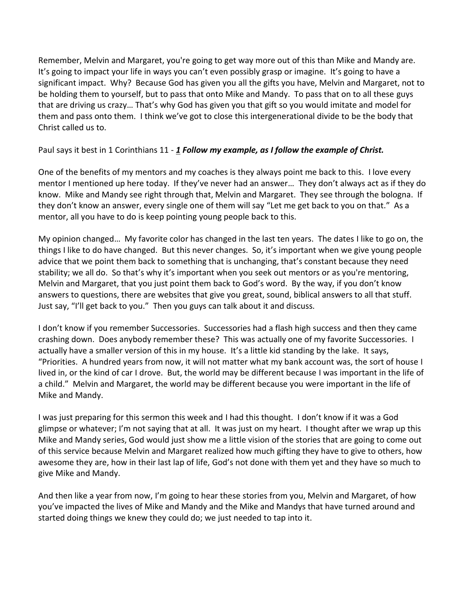Remember, Melvin and Margaret, you're going to get way more out of this than Mike and Mandy are. It's going to impact your life in ways you can't even possibly grasp or imagine. It's going to have a significant impact. Why? Because God has given you all the gifts you have, Melvin and Margaret, not to be holding them to yourself, but to pass that onto Mike and Mandy. To pass that on to all these guys that are driving us crazy… That's why God has given you that gift so you would imitate and model for them and pass onto them. I think we've got to close this intergenerational divide to be the body that Christ called us to.

## Paul says it best in 1 Corinthians 11 - *[1](http://www.studylight.org/desk/?q=1co%2011:1&t1=en_niv&sr=1) Follow my example, as I follow the example of Christ.*

One of the benefits of my mentors and my coaches is they always point me back to this. I love every mentor I mentioned up here today. If they've never had an answer… They don't always act as if they do know. Mike and Mandy see right through that, Melvin and Margaret. They see through the bologna. If they don't know an answer, every single one of them will say "Let me get back to you on that." As a mentor, all you have to do is keep pointing young people back to this.

My opinion changed… My favorite color has changed in the last ten years. The dates I like to go on, the things I like to do have changed. But this never changes. So, it's important when we give young people advice that we point them back to something that is unchanging, that's constant because they need stability; we all do. So that's why it's important when you seek out mentors or as you're mentoring, Melvin and Margaret, that you just point them back to God's word. By the way, if you don't know answers to questions, there are websites that give you great, sound, biblical answers to all that stuff. Just say, "I'll get back to you." Then you guys can talk about it and discuss.

I don't know if you remember Successories. Successories had a flash high success and then they came crashing down. Does anybody remember these? This was actually one of my favorite Successories. I actually have a smaller version of this in my house. It's a little kid standing by the lake. It says, "Priorities. A hundred years from now, it will not matter what my bank account was, the sort of house I lived in, or the kind of car I drove. But, the world may be different because I was important in the life of a child." Melvin and Margaret, the world may be different because you were important in the life of Mike and Mandy.

I was just preparing for this sermon this week and I had this thought. I don't know if it was a God glimpse or whatever; I'm not saying that at all. It was just on my heart. I thought after we wrap up this Mike and Mandy series, God would just show me a little vision of the stories that are going to come out of this service because Melvin and Margaret realized how much gifting they have to give to others, how awesome they are, how in their last lap of life, God's not done with them yet and they have so much to give Mike and Mandy.

And then like a year from now, I'm going to hear these stories from you, Melvin and Margaret, of how you've impacted the lives of Mike and Mandy and the Mike and Mandys that have turned around and started doing things we knew they could do; we just needed to tap into it.